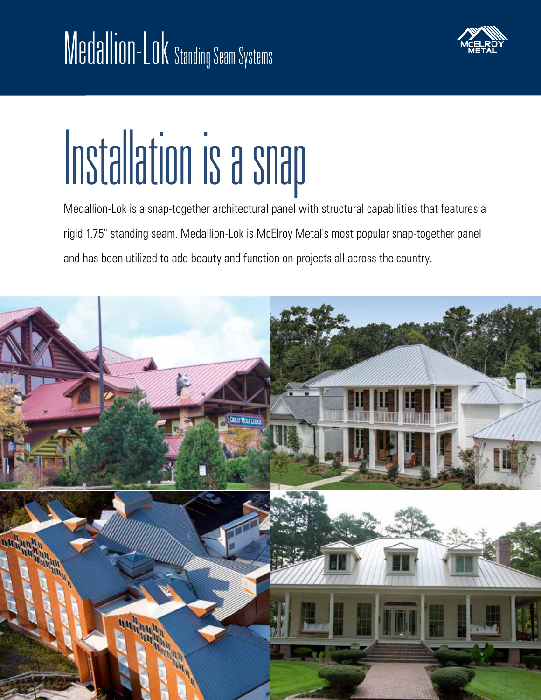

# Installation is a snap

Medallion-Lok is a snap-together architectural panel with structural capabilities that features a rigid 1.75" standing seam. Medallion-Lok is McElroy Metal's most popular snap-together panel and has been utilized to add beauty and function on projects all across the country.